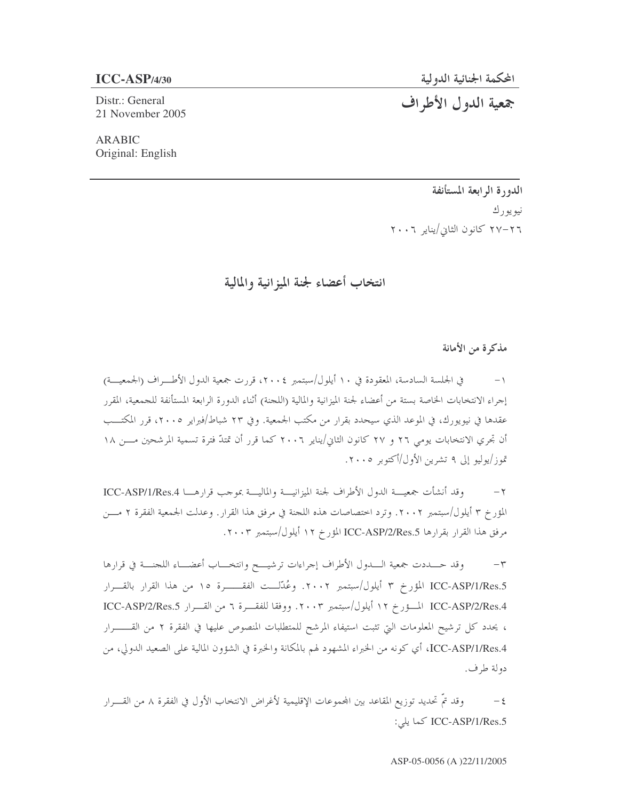Distr.: General 21 November 2005 المحكمة الجنائية الدولية

جمعية الدول الأطراف

**ARABIC** Original: English

> الدورة الرابعة المستأنفة نيو يو رك ٢٦–٢٧ كانون الثاني/يناير ٢٠٠٦

انتخاب أعضاء لجنة الميزانية والمالية

مذكرة من الأمانة

في الجلسة السادسة، المعقودة في ١٠ أيلول/سبتمبر ٢٠٠٤، قررت جمعية الدول الأطـــراف (الجمعيـــة) إجراء الانتخابات الخاصة بستة من أعضاء لجنة الميزانية والمالية (اللجنة) أثناء الدورة الرابعة المستأنفة للجمعية، المقرر عقدها في نيويورك، في الموعد الذي سيحدد بقرار من مكتب الجمعية. وفي ٢٣ شباط/فبراير ٢٠٠٥، قرر المكتــب أن تجري الانتخابات يومي ٢٦ و ٢٧ كانون الثاني/يناير ٢٠٠٦ كما قرر أن تمتدّ فترة تسمية المرشحين مـــن ١٨ تموز/يوليو إلى ٩ تشرين الأول/أكتوبر ٢٠٠٥.

وقد أنشأت جمعيـــة الدول الأطراف لجنة الميزانيـــة والماليـــة بموجب قرارهـــا ICC-ASP/1/Res.4  $-\tau$ المؤرخ ٣ أيلول/سبتمبر ٢٠٠٢. وترد احتصاصات هذه اللجنة في مرفق هذا القرار . وعدلت الجمعية الفقرة ٢ مـــن مرفق هذا القرار بقرارها ICC-ASP/2/Res.5 المؤرخ ١٢ أيلول/سبتمبر ٢٠٠٣.

وقد حـــددت جمعية الــــدول الأطراف إجراءات ترشيــــح وانتخــــاب أعضــــاء اللجنــــة في قرارها  $-\tau$ ICC-ASP/1/Res.5 المؤرخ ٣ أيلول/سبتمبر ٢٠٠٢. وعُدّلــت الفقـــــرة ١٥ من هذا القرار بالقـــرار ICC-ASP/2/Res.4 المسؤرخ ١٢ أيلول/سبتمبر ٢٠٠٣. ووفقا للفقـــرة ٦ من القـــرار ICC-ASP/2/Res.5 ، يحدد كل ترشيح المعلومات التي تثبت استيفاء المرشح للمتطلبات المنصوص عليها في الفقرة ٢ من القــــــــرار ICC-ASP/1/Res.4، أي كونه من الخبراء المشهود لهم بالمكانة والخبرة في الشؤون المالية على الصعيد الدولي، من دولة طرف.

وقد تمَّ تحديد توزيع المقاعد بين المحموعات الإقليمية لأغراض الانتخاب الأول في الفقرة ٨ من القـــرار  $-\xi$ ICC-ASP/1/Res.5 كما يلي: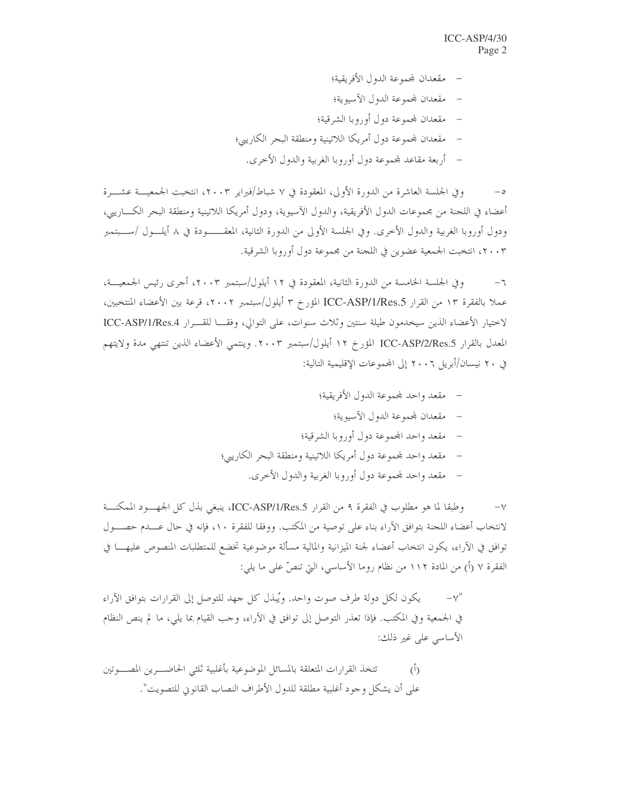- مقعدان لمحموعة الدول الأفريقية؛
- مقعدان لمحموعة الدول الآسيوية؛
- مقعدان لمحموعة دول أوروبا الشرقية؛
- مقعدان لمحموعة دول أمريكا اللاتينية ومنطقة البحر الكاريبي؛
	- أربعة مقاعد لمحموعة دول أوروبا الغربية والدول الأخرى.

وفي الجلسة العاشرة من الدورة الأولى، المعقودة في ٧ شباط/فبراير ٢٠٠٣، انتخبت الجمعيـــة عشــــرة أعضاء في اللجنة من مجموعات الدول الأفريقية، والدول الآسيوية، ودول أمريكا اللاتينية ومنطقة البحر الكـــاريبي، ودول أوروبا الغربية والدول الأخرى. وفي الجلسة الأولى من الدورة الثانية، المعقـــــودة في ٨ أيلـــول /ســـبتمبر ٢٠٠٣، انتخبت الجمعية عضوين في اللجنة من مجموعة دول أوروبا الشرقية.

وفي الجلسة الخامسة من الدورة الثانية، المعقودة في ١٢ أيلول/سبتمبر ٢٠٠٣، أحرى رئيس الجمعيـــة،  $-\mathbf{1}$ عملا بالفقرة ١٣ من القرار ICC-ASP/1/Res.5 المؤرخ ٣ أيلول/سبتمبر ٢٠٠٢، قرعة بين الأعضاء المنتخبين، لاحتيار الأعضاء الذين سيخدمون طيلة سنتين وثلاث سنوات، على التوالي، وفقـــا للقـــرار ICC-ASP/1/Res.4 المعدل بالقرار ICC-ASP/2/Res.5 المؤرخ ١٢ أيلول/سبتمبر ٢٠٠٣. وينتمي الأعضاء الذين تنتهي مدة ولايتهم في ٢٠ نيسان/أبريل ٢٠٠٦ إلى المحموعات الإقليمية التالية:

- مقعد واحد لمجموعة الدول الأفريقية؛
	- مقعدان لمحموعة الدول الآسيوية؛
- مقعد واحد المحموعة دول أوروبا الشرقية؛
- مقعد واحد لمحموعة دول أمريكا اللاتينية ومنطقة البحر الكاريبي؛
	- مقعد واحد لمحموعة دول أوروبا الغربية والدول الأخرى.

وطبقا لما هو مطلوب في الفقرة ٩ من القرار ICC-ASP/1/Res.5، ينبغي بذل كل الجهــود الممكنـــة  $-\vee$ لانتخاب أعضاء اللجنة بتوافق الآراء بناء على توصية من المكتب. ووفقا للفقرة ١٠، فإنه في حال عــــدم حصــــول توافق في الآراء، يكون انتخاب أعضاء لجنة الميزانية والمالية مسألة موضوعية تخضع للمتطلبات المنصوص عليهــــا في الفقرة ٧ (أ) من المادة ١١٢ من نظام روما الأساسي، التي تنصِّ على ما يلي:

يكون لكل دولة طرف صوت واحد. ويُبذل كل جهد للتوصل إلى القرارات بتوافق الآراء في الجمعية وفي المكتب. فإذا تعذَّر التوصل إلى توافق في الآراء، وجب القيام بما يلي، ما لم ينص النظام الأساسي على غير ذلك:

تتخذ القرارات المتعلقة بالمسائل الموضوعية بأغلبية ثلثي الحاضـــرين المصــــوتين  $\overline{O}$ على أن يشكل وجود أغلبية مطلقة للدول الأطراف النصاب القانوين للتصويت".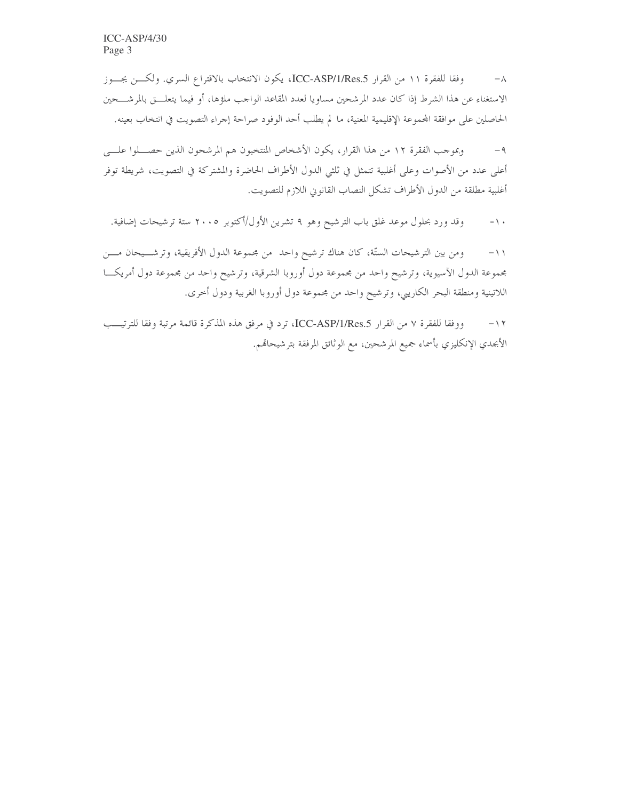وفقا للفقرة ١١ من القرار ICC-ASP/1/Res.5، يكون الانتخاب بالاقتراع السري. ولكـن يجــوز  $-\wedge$ الاستغناء عن هذا الشرط إذا كان عدد المرشحين مساويا لعدد المقاعد الواحب ملؤها، أو فيما يتعلـــق بالمرشــــحين الحاصلين على موافقة المحموعة الإقليمية المعنية، ما لم يطلب أحد الوفود صراحة إجراء التصويت في انتخاب بعينه.

وبموجب الفقرة ١٢ من هذا القرار، يكون الأشخاص المنتخبون هم المرشحون الذين حصـــلوا علـــي  $-9$ أعلى عدد من الأصوات وعلى أغلبية تتمثل في ثلثي الدول الأطراف الحاضرة والمشتركة في التصويت، شريطة توفر أغلبية مطلقة من الدول الأطراف تشكل النصاب القانوين اللازم للتصويت.

وقد ورد بحلول موعد غلق باب الترشيح وهو ٩ تشرين الأول/أكتوبر ٢٠٠٥ ستة ترشيحات إضافية.  $- \wedge$ 

ومن بين الترشيحات الستَّة، كان هناك ترشيح واحد ً من مجموعة الدول الأفريقية، وترشـــيحان مــــن  $-11$ مجموعة الدول الآسيوية، وترشيح واحد من مجموعة دول أوروبا الشرقية، وترشيح واحد من مجموعة دول أمريكـــا اللاتينية ومنطقة البحر الكاريبي، وترشيح واحد من مجموعة دول أوروبا الغربية ودول أخرى.

ووفقا للفقرة ٧ من القرار ICC-ASP/1/Res.5، ترد في مرفق هذه المذكرة قائمة مرتبة وفقا للترتيسب  $-11$ الأبجدي الإنكليزي بأسماء جميع المرشحين، مع الوثائق المرفقة بترشيحاقمم.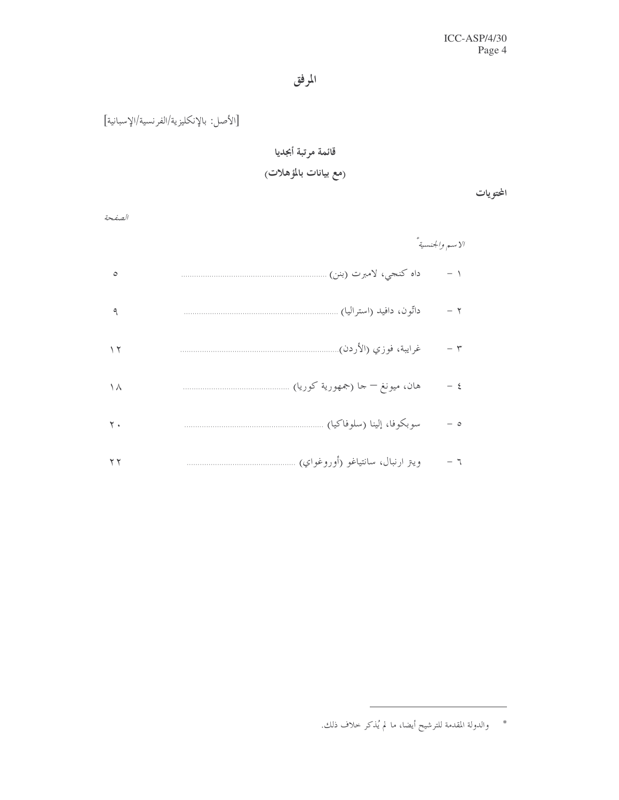# المرفق

[الأصل: بالإنكليزية/الفرنسية/الإسبانية]

# قائمة مرتبة أبجديا

# (مع بيانات بالمؤهلات<sub>)</sub>

المحتويات

| v      |                                 |  |
|--------|---------------------------------|--|
| $\sim$ | ___<br>۰.<br>e e pro<br>×<br>۰. |  |

|         |                                  | الاسم والجنسية ً |
|---------|----------------------------------|------------------|
| $\circ$ | داه كنجي، لامبرت (بنن) .         | - 1              |
| ٩       | داتّون، دافيد (استراليا)         | $-7$             |
| ۲ ۱     | غرايبة، فوزي (الأردن)            | $ \mathsf{r}$    |
| ۱۸      | هان، ميونغ – حا (جمهورية كوريا)  | $-$ {            |
| ۲.      | سوبكوفا، إلينا (سلوفاكيا)        | - 0              |
| ۲ ۲     | ويتر ارنبال، سانتياغو (أوروغواي) | ー 乁              |

<sup>\*</sup> والدولة المقدمة للترشيح أيضا، ما لم يُذكر حلاف ذلك.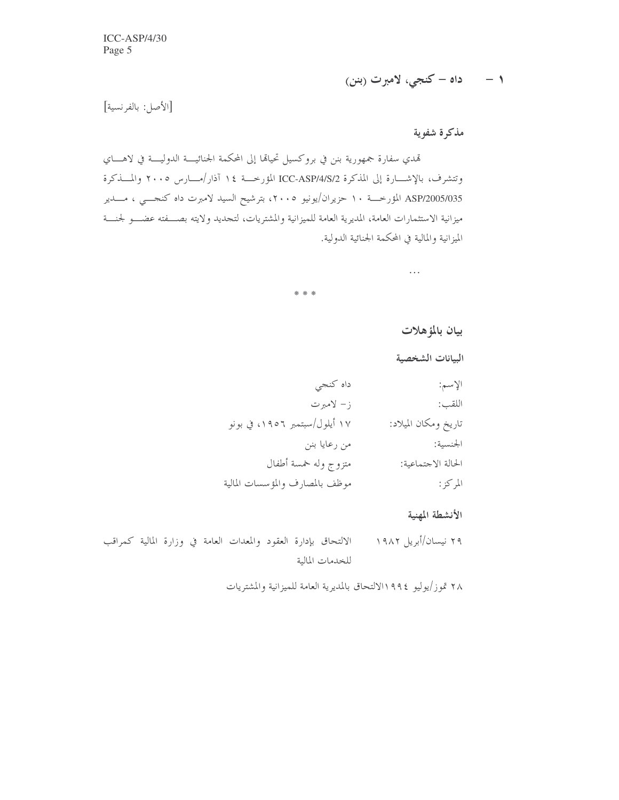١ – داه – کنجي، لامبرت (بنن)

 $\ldots$ 

[الأصل: بالفرنسية]

مذكرة شفوية

تمدي سفارة جمهورية بنن في بروكسيل تحيامًا إلى المحكمة الجنائيـــة الدوليــــة في لاهــــاي وتتشرف، بالإشـــارة إلى المذكرة ICC-ASP/4/S/2 المؤرخـــة ١٤ آذار/مــــارس ٢٠٠٥ والمــــذكرة ASP/2005/035 المؤرخـــة ١٠ حزيران/يونيو ٢٠٠٥، بترشيح السيد لامبرت داه كنجــــي ، مــــدير ميزانية الاستثمارات العامة، المديرية العامة للميزانية والمشتريات، لتجديد ولايته بصـــفته عضـــو لجنــــة الميزانية والمالية في المحكمة الجنائية الدولية.

| * * *                           |                      |
|---------------------------------|----------------------|
|                                 | بيان بالمؤهلات       |
|                                 | البيانات الشخصية     |
| داه كنجى                        | الإسم:               |
| ز– لامبرت                       | اللقب:               |
| ۱۷ أيلول/سبتمبر ١٩٥٦، في بونو   | تاريخ ومكان الميلاد: |
| من رعايا بنن                    | الجنسية:             |
| متزوج وله خمسة أطفال            | الحالة الاجتماعية:   |
| موظف بالمصارف والمؤسسات المالية | المركز:              |
|                                 |                      |

الأنشطة المهنية

٢٩ نيسان/أبريل ١٩٨٢ الالتحاق بإدارة العقود والمعدات العامة في وزارة المالية كمراقب للخدمات المالية

٢٨ تموز/يوليو ١٩٩٤/لالتحاق بالمديرية العامة للميزانية والمشتريات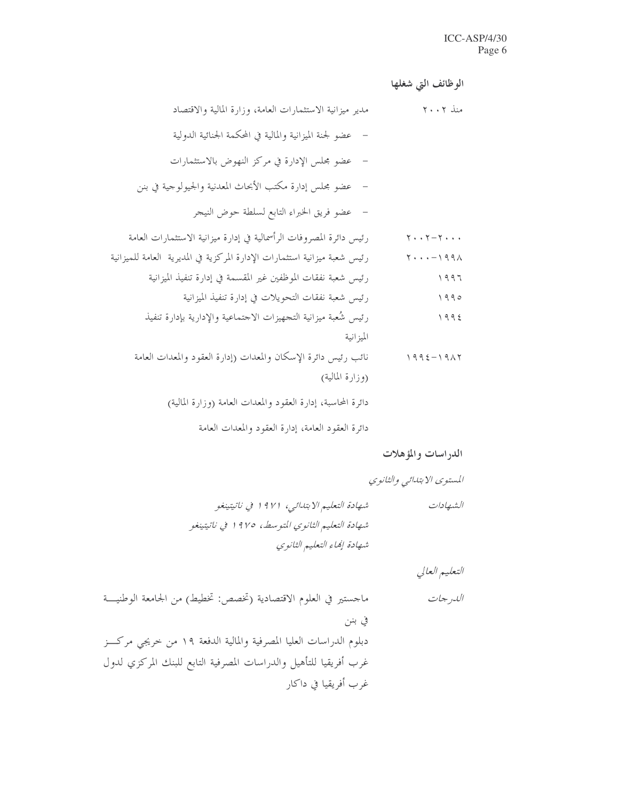الوظائف التي شغلها

دائرة العقود العامة، إدارة العقود والمعدات العامة

الدراسات والمؤهلات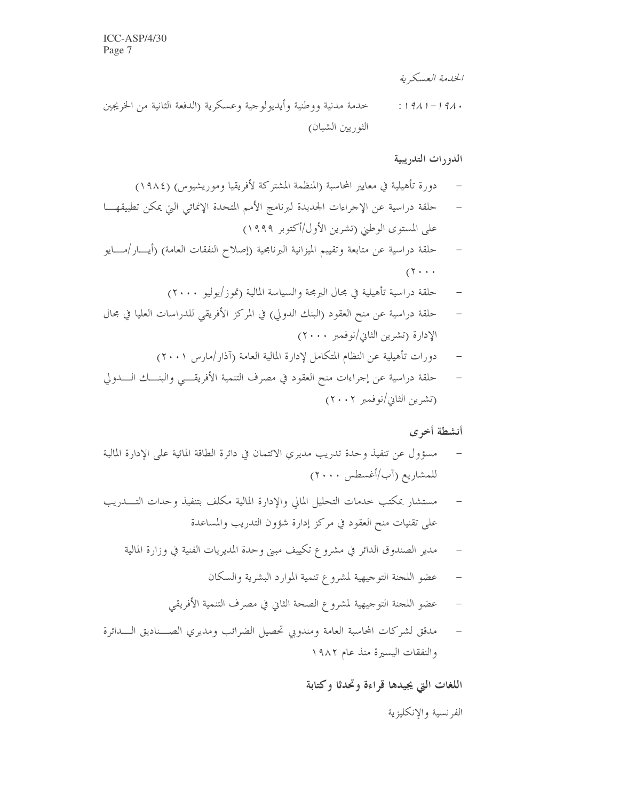الخدمة العسكرية

خدمة مدنية ووطنية وأيديولوجية وعسكرية (الدفعة الثانية من الخريجين  $: 1911 - 191.$ الثوريين الشبان)

## الدورات التدريبية

- دورة تأهيلية في معايير المحاسبة (المنظمة المشتركة لأفريقيا وموريشيوس) (١٩٨٤)
- حلقة دراسية عن الإجراءات الجديدة لبرنامج الأمم المتحدة الإنمائي التي يمكن تطبيقهـــا على المستوى الوطني (تشرين الأول/أكتوبر ١٩٩٩)
- حلقة دراسية عن متابعة وتقييم الميزانية البرنامجية (إصلاح النفقات العامة) (أيـــار/مــــايو  $(1 \cdot \cdot \cdot$ 
	- حلقة دراسية تأهيلية في مجال البرمجة والسياسة المالية (تموز/يوليو ٢٠٠٠)
- حلقة دراسية عن منح العقود (البنك الدولي) في المركز الأفريقي للدراسات العليا في مجال الإدارة (تشرين الثاني/نوفمبر ٢٠٠٠)
	- دورات تأهيلية عن النظام المتكامل لإدارة المالية العامة (آذار/مارس ٢٠٠١)
- حلقة دراسية عن إجراءات منح العقود في مصرف التنمية الأفريقـــي والبنـــك الــــدولي (تشرين الثاني/نوفمبر ٢٠٠٢)

### أنشطة أخرى

- مسؤول عن تنفيذ وحدة تدريب مديري الائتمان في دائرة الطاقة المائية على الإدارة المالية للمشاريع (آب/أغسطس ٢٠٠٠)
- مستشار بمكتب حدمات التحليل المالي والإدارة المالية مكلف بتنفيذ وحدات التـــدريب على تقنيات منح العقود في مركز إدارة شؤون التدريب والمساعدة
	- مدير الصندوق الدائر في مشروع تكييف مبني وحدة المديريات الفنية في وزارة المالية  $\overline{\phantom{0}}$ 
		- عضو اللجنة التوجيهية لمشروع تنمية الموارد البشرية والسكان
		- عضو اللحنة التوحيهية لمشروع الصحة الثاني في مصرف التنمية الأفريقي  $\overline{a}$
- مدقق لشركات المحاسبة العامة ومندويي تحصيل الضرائب ومديري الصــناديق الـــدائرة والنفقات اليسيرة منذ عام ١٩٨٢

اللغات التي يجيدها قراءة وتحدثا وكتابة

الفرنسية والإنكليزية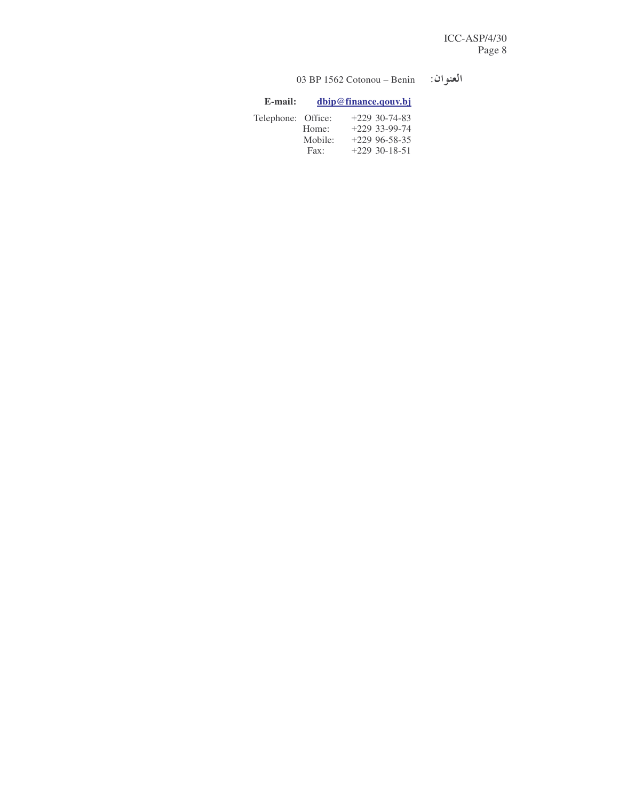#### 03 BP 1562 Cotonou – Benin العنوان:

| E-mail:            |               | dbip@finance.qouv.bj |
|--------------------|---------------|----------------------|
| Telephone: Office: |               | $+229$ 30-74-83      |
|                    | Home:         | $+229$ 33-99-74      |
|                    | Mobile:       | $+229$ 96-58-35      |
|                    | $\text{Fax}:$ | $+229$ 30-18-51      |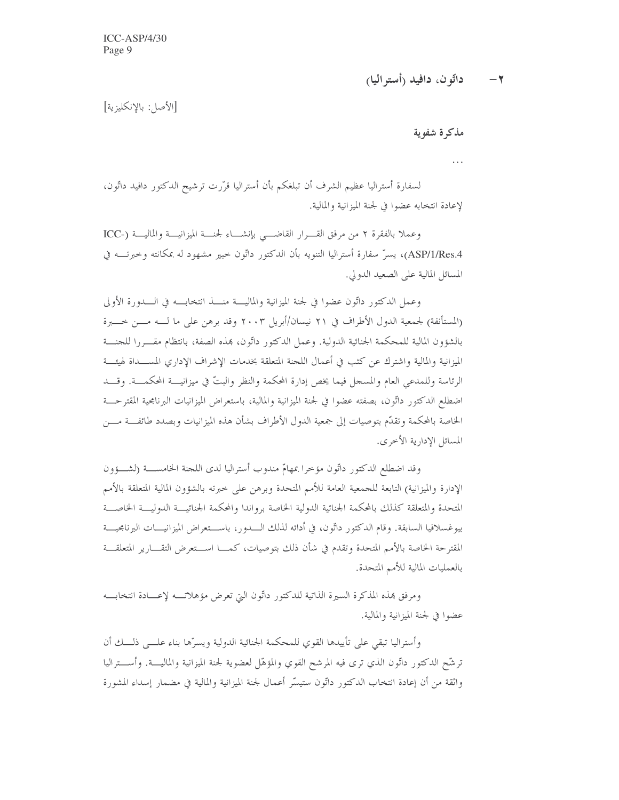داتّون، دافيد (أستر اليا)  $-7$ 

[الأصل: بالإنكليزية]

مذكرة شفوية

 $\cdots$ 

لسفارة أستراليا عظيم الشرف أن تبلغكم بأن أستراليا قرَّرت ترشيح الدكتور دافيد داتُّون، لإعادة انتخابه عضوا في لجنة الميزانية والمالية.

وعملا بالفقرة ٢ من مرفق القـــرار القاضــــى بإنشــــاء لجنــــة الميزانيــــة والماليـــة (-ICC ASP/1/Res.4)، يسرّ سفارة أستراليا التنويه بأن الدكتور داتّون حبير مشهود له بمكانته وحبرتـــه في المسائل المالية على الصعيد الدولي.

وعمل الدكتور داتُّون عضوا في لجنة الميزانية والماليــــة منــــذ انتخابــــه في الـــــدورة الأولى (المستأنفة) لجمعية الدول الأطراف في ٢١ نيسان/أبريل ٢٠٠٣ وقد برهن على ما لــــه مــــن خـــــبرة بالشؤون المالية للمحكمة الجنائية الدولية. وعمل الدكتور داتُّون، هذه الصفة، بانتظام مقـــررا للجنــــة الميزانية والمالية واشترك عن كثب في أعمال اللجنة المتعلقة بخدمات الإشراف الإداري المســــداة لهيئـــة الرئاسة وللمدعى العام والمسجل فيما يخص إدارة المحكمة والنظر والبتّ في ميزانيــــة المحكمــــة. وقــــد اضطلع الدكتور داتُّون، بصفته عضوا في لجنة الميزانية والمالية، باستعراض الميزانيات البرنامجية المقترحـــة الخاصة بالمحكمة وتقدّم بتوصيات إلى جمعية الدول الأطراف بشأن هذه الميزانيات وبصدد طائفـــة مــــن المسائل الإدارية الأخرى.

وقد اضطلع الدكتور داتُّون مؤخرًا بمهامٍّ مندوب أستراليا لدى اللجنة الخامســـة (لشـــؤون الإدارة والميزانية) التابعة للجمعية العامة للأمم المتحدة وبرهن على خبرته بالشؤون المالية المتعلقة بالأمم المتحدة والمتعلقة كذلك بالمحكمة الجنائية الدولية الخاصة برواندا والمحكمة الجنائيسة اللدوليسة الخاصسة بيوغسلافيا السابقة. وقام الدكتور داتُّون، في أدائه لذلك الــــدور، باســـتعراض الميزانيــــات البرنامجيـــة المقترحة الخاصة بالأمم المتحدة وتقدم في شأن ذلك بتوصيات، كمــــا اســــتعرض التقــــارير المتعلقـــة بالعمليات المالية للأمم المتحدة.

ومرفق هذه المذكرة السيرة الذاتية للدكتور داتُّون التي تعرض مؤهلاته لإعسادة انتخابسه عضوا في لجنة الميزانية والمالية.

وأستراليا تبقى على تأييدها القوي للمحكمة الجنائية الدولية ويسرّها بناء علـــي ذلـــك أن ترشَّح الدكتور داتُّون الذي ترى فيه المرشح القوي والمؤهَّل لعضوية لجنة الميزانية والماليــــة. وأســــتراليا واثقة من أن إعادة انتخاب الدكتور داتّون ستيسّر أعمال لجنة الميزانية والمالية في مضمار إسداء المشورة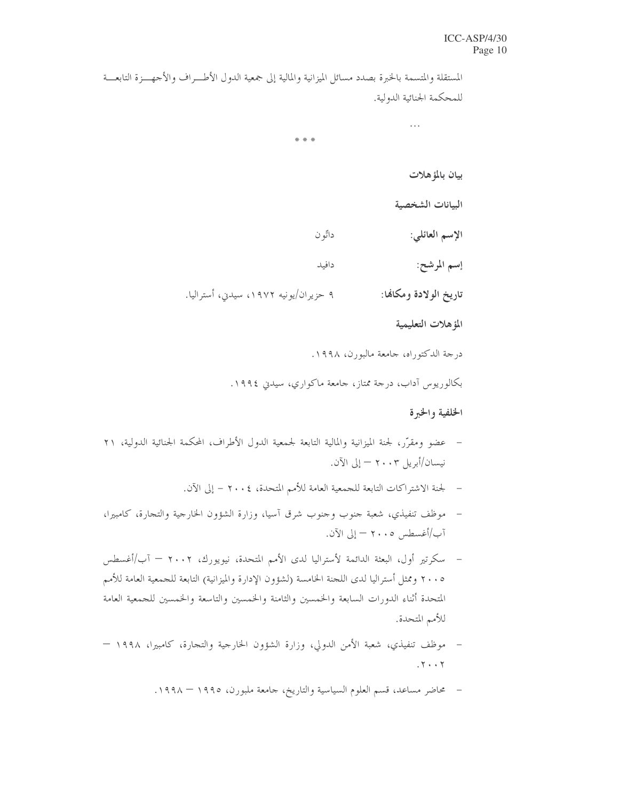### ICC-ASP/4/30 Page 10

المستقلة والمتسمة بالخبرة بصدد مسائل الميزانية والمالية إلى جمعية الدول الأطـــراف والأجهــــزة التابعــــة للمحكمة الجنائية الدولية.

\* \* \*

بيان بالمؤهلات

البيانات الشخصية

الإسم العائلي:

 $\ldots$ 

إسم المرشح:

۹ حزیران/یونیه ۱۹۷۲، سیدیی، أسترالیا. تاريخ الولادة ومكانها:

داتّو ن

دافيد

المؤهلات التعليمية

درجة الدكتوراه، جامعة مالبورن، ١٩٩٨.

بکالوریوس آداب، درجة ممتاز، جامعة ماکواري، سیدین ۱۹۹٤.

## الخلفية والخبرة

- عضو ومقرَّر، لجنة الميزانية والمالية التابعة لجمعية الدول الأطراف، المحكمة الجنائية الدولية، ٢١  $\sim$ نيسان/أبريل ٢٠٠٣ - إلى الآن.
	- لجنة الاشتراكات التابعة للجمعية العامة للأمم المتحدة، ٢٠٠٤ إلى الآن.
- موظف تنفيذي، شعبة جنوب وجنوب شرق آسيا، وزارة الشؤون الخارجية والتجارة، كامبيرا، آب/أغسطس ٢٠٠٥ – إلى الآن.
- سكرتير أول، البعثة الدائمة لأستراليا لدى الأمم المتحدة، نيويورك، ٢٠٠٢ آب/أغسطس ٢٠٠٥ وممثل أستراليا لدى اللجنة الخامسة (لشؤون الإدارة والميزانية) التابعة للجمعية العامة للأمم المتحدة أثناء الدورات السابعة والخمسين والثامنة والخمسين والتاسعة والخمسين للجمعية العامة للأمم المتحدة.
- موظف تنفيذي، شعبة الأمن الدولي، وزارة الشؤون الخارجية والتجارة، كامبيرا، ١٩٩٨  $\overline{\phantom{a}}$  $.7 \cdot .7$ 
	- محاضر مساعد، قسم العلوم السياسية والتاريخ، حامعة ملبورن، ١٩٩٥ ١٩٩٨.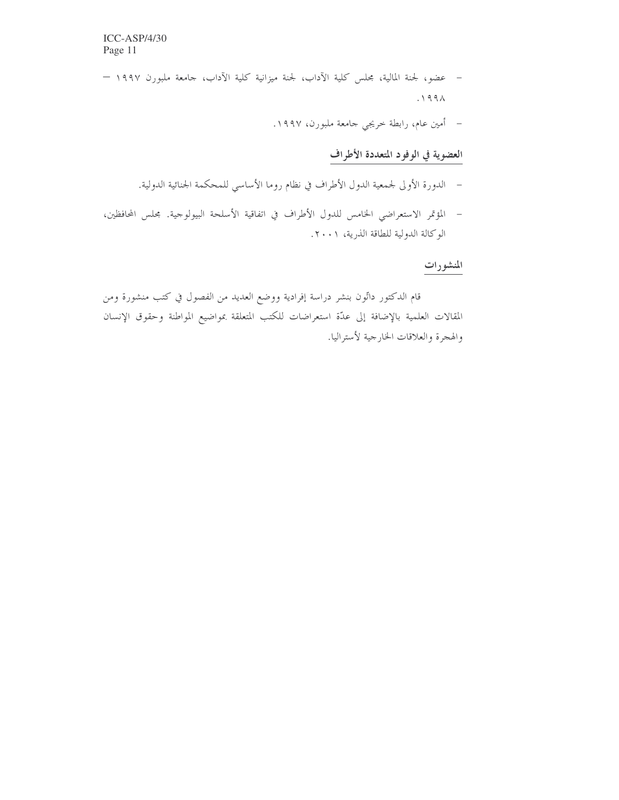- عضو، لجنة المالية، مجلس كلية الآداب، لجنة ميزانية كلية الآداب، جامعة ملبورن ١٩٩٧  $.199\Lambda$ 
	- أمين عام، رابطة خريجي جامعة ملبورن، ١٩٩٧.

# العضوية في الوفود المتعددة الأطراف

- الدورة الأولى لجمعية الدول الأطراف في نظام روما الأساسي للمحكمة الجنائية الدولية.
- المؤتمر الاستعراضي الخامس للدول الأطراف في اتفاقية الأسلحة البيولوجية. مجلس المحافظين، الوكالة الدولية للطاقة الذرية، ٢٠٠١.

# المنشورات

قام الدكتور داتُّون بنشر دراسة إفرادية ووضع العديد من الفصول في كتب منشورة ومن المقالات العلمية بالإضافة إلى عدّة استعراضات للكتب المتعلقة بمواضيع المواطنة وحقوق الإنسان والهجرة والعلاقات الخارجية لأستراليا.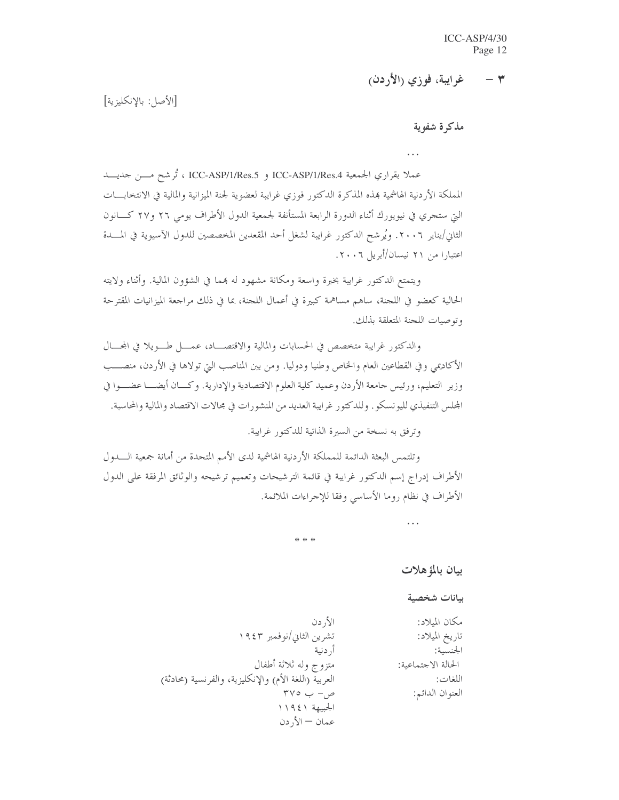غرايبة، فوزي (الأردن)  $\tau$ 

[الأصل: بالانكليزية]

مذكرة شفوية

عملا بقراري الجمعية ICC-ASP/1/Res.4 و ICC-ASP/1/Res.5 ، تُرشح مــــن حديــــد المملكة الأردنية الهاشمية بمذه المذكرة الدكتور فوزي غرايبة لعضوية لجنة الميزانية والمالية في الانتخابـــات الَّتِي ستجري في نيويورك أثناء الدورة الرابعة المستأنفة لجمعية الدول الأطراف يومي ٢٦ و٢٧ كـــانون الثاني/يناير ٢٠٠٦. ويُرشح الدكتور غرايبة لشغل أحد المقعدين المخصصين للدول الآسيوية في المسدة اعتبارا من ۲۱ نیسان/أبریل ۲۰۰۲.

ويتمتع الدكتور غرايبة بخبرة واسعة ومكانة مشهود له بمما في الشؤون المالية. وأثناء ولايته الحالية كعضوٍ في اللجنة، ساهم مساهمة كبيرة في أعمال اللجنة، بما في ذلك مراجعة الميزانيات المقترحة وتوصيات اللجنة المتعلقة بذلك.

والدكتور غرايبة متخصص في الحسابات والمالية والاقتصاد، عمـــل طـــويلا في المحـــال الأكاديمي وفي القطاعين العام والخاص وطنيا ودوليا. ومن بين المناصب التي تولاها في الأردن، منصـــب وزير التعليم، ورئيس جامعة الأردن وعميد كلية العلوم الاقتصادية والإدارية. وكـــان أيضــــا عضـــوا في المحلس التنفيذي لليونسكو . وللدكتور غرايبة العديد من المنشورات في محالات الاقتصاد والمالية والمحاسبة .

وترفق به نسخة من السيرة الذاتية للدكتور غرايبة.

وتلتمس البعثة الدائمة للمملكة الأردنية الهاشمية لدى الأمم المتحدة من أمانة جمعية الــــدول الأطراف إدراج إسم الدكتور غرايبة في قائمة الترشيحات وتعميم ترشيحه والوثائق المرفقة على الدول الأطراف في نظام روما الأساسي وفقا للإجراءات الملائمة.

\* \* \*

بيان بالمؤ هلات

 $\ddotsc$ 

ببانات شخصية

مكان الملاد: الأردن تشرين الثاني/نوفمبر ١٩٤٣ تاريخ الميلاد: أ, دنية الجنسبة: متزوج وله ثلاثة أطفال الحالة الاجتماعية: العربية (اللغة الأم) والإنكليزية، والفرنسية (محادثة) اللغات:  $\mathsf{r}\mathsf{v}\circ\mathsf{v}$ ص- ب العنوان الدائم: الجبيهة ١١٩٤١ عمان — الأردن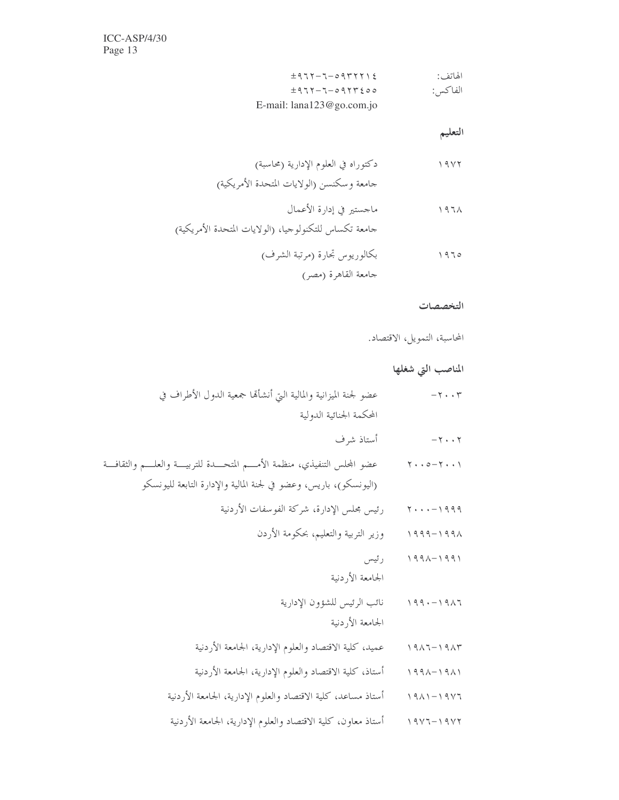$$
\begin{array}{cc}\n \pm 9.717 - 7 - 0.917771 \xi \\
\pm 9.717 - 7 - 0.9177 \xi \circ \circ \\
\pm 9.717 - 7 - 0.9177 \xi \circ \circ \\
\text{E-mail: } \text{lanal}230 \text{ go.com.jo}\n \end{array}
$$

التعليم

### التخصصات

المحاسبة، التمويل، الاقتصاد.

# المناصب التي شغلها

| عضو لجنة الميزانية والمالية التي أنشأتما جمعية الدول الأطراف في                       | $-\tau \cdot \cdot \tau$                                                                                                           |
|---------------------------------------------------------------------------------------|------------------------------------------------------------------------------------------------------------------------------------|
| المحكمة الجنائية الدولية                                                              |                                                                                                                                    |
| أستاذ شرف                                                                             | $-\gamma \cdot \cdot \gamma$                                                                                                       |
| عضو المحلس التنفيذي، منظمة الأمــــم المتحــــدة للتربيــــة والعلـــــم والثقافــــة | $\mathbf{y} \cdot \cdot \mathbf{0} - \mathbf{y} \cdot \cdot \mathbf{y}$                                                            |
| (اليونسكو)، باريس، وعضو في لجنة المالية والإدارة التابعة لليونسكو                     |                                                                                                                                    |
| رئيس مجلس الإدارة، شركة الفوسفات الأردنية                                             | $\mathbf{y} \cdot \cdot \cdot - \mathbf{y} \cdot \mathbf{y} \cdot \mathbf{y}$                                                      |
| وزير التربية والتعليم، بحكومة الأردن                                                  | $1999 - 1991$                                                                                                                      |
| رئيس                                                                                  | $1991 - 1991$                                                                                                                      |
| الجامعة الأردنية                                                                      |                                                                                                                                    |
| نائب الرئيس للشؤون الإدارية                                                           | $199 - 1917$                                                                                                                       |
| الجامعة الأردنية                                                                      |                                                                                                                                    |
| عميد، كلية الاقتصاد والعلوم الإدارية، الجامعة الأردنية                                | $\begin{array}{c} \backslash \ \lhd \land \lhd \lhd \lhd \lhd \lhd \lhd \land \lhd \lhd \end{array}$                               |
| أستاذ، كلية الاقتصاد والعلوم الإدارية، الجامعة الأردنية                               | $\begin{array}{c} \uparrow \uparrow \uparrow \uparrow \wedge - \uparrow \uparrow \wedge \uparrow \end{array}$                      |
| أستاذ مساعد، كلية الاقتصاد والعلوم الإدارية، الجامعة الأردنية                         | $\begin{array}{c} \uparrow \mathcal{A} \wedge \mathcal{A} \end{array} \begin{array}{c} \mathcal{A} \wedge \mathcal{A} \end{array}$ |
| أستاذ معاون، كلية الاقتصاد والعلوم الإدارية، الجامعة الأردنية                         | $19Y7 - 19Y7$                                                                                                                      |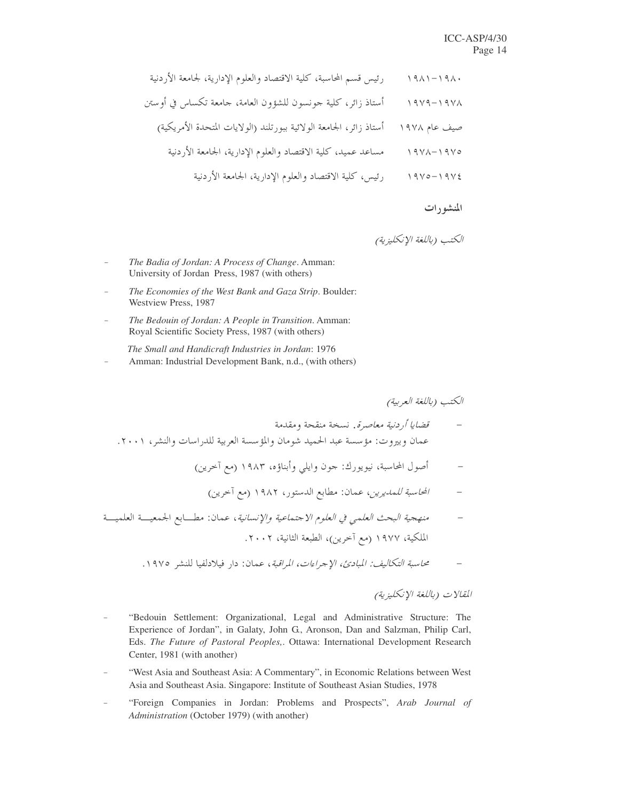|                     | رئيس قسم المحاسبة، كلية الاقتصاد والعلوم الإدارية، لجامعة الأردنية |
|---------------------|--------------------------------------------------------------------|
| $19Y9 - 19Y\Lambda$ | أستاذ زائر، كلية حونسون للشؤون العامة، جامعة تكساس في أوستن        |
| صيف عام ١٩٧٨        | أستاذ زائر، الجامعة الولائية ببورتلند (الولايات المتحدة الأمريكية) |
|                     | مساعد عميد، كلية الاقتصاد والعلوم الإدارية، الجامعة الأردنية       |
| $19V0 - 19V\xi$     | رئيس، كلية الاقتصاد والعلوم الإدارية، الجامعة الأردنية             |

#### المنشورات

- The Badia of Jordan: A Process of Change. Amman: University of Jordan Press, 1987 (with others)
- The Economies of the West Bank and Gaza Strip. Boulder: Westview Press, 1987
- The Bedouin of Jordan: A People in Transition. Amman: Royal Scientific Society Press, 1987 (with others)
- The Small and Handicraft Industries in Jordan: 1976 Amman: Industrial Development Bank, n.d., (with others)

الكتب (باللغة العربية)

- قضايا أردنية معاصرة. نسخة منقحة ومقدمة عمان وبيروت: مؤسسة عبد الحميد شومان والمؤسسة العربية للدراسات والنشر، ٢٠٠١.
	- أصول المحاسبة، نيويورك: جون وايلي وأبناؤه، ١٩٨٣ (مع آخرين)
		- المحاسبة للمديرين، عمان: مطابع الدستور، ١٩٨٢ (مع أحرين)
- منهجية البحث العلمي في العلوم الاجتماعية والإنسانية، عمان: مطـــابع الجمعيـــة العلميـــة الملكية، ١٩٧٧ (مع أخرين)، الطبعة الثانية، ٢٠٠٢.
	- محاسبة التكاليف: المبادئ، الإجراءات، المراقبة، عمان: دار فبلادلفيا للنشر ١٩٧٥.

المقالات (باللغة الإنكليزية)

- "Bedouin Settlement: Organizational, Legal and Administrative Structure: The Experience of Jordan", in Galaty, John G., Aronson, Dan and Salzman, Philip Carl, Eds. The Future of Pastoral Peoples,. Ottawa: International Development Research Center, 1981 (with another)
- "West Asia and Southeast Asia: A Commentary", in Economic Relations between West Asia and Southeast Asia. Singapore: Institute of Southeast Asian Studies, 1978
- "Foreign Companies in Jordan: Problems and Prospects", Arab Journal of Administration (October 1979) (with another)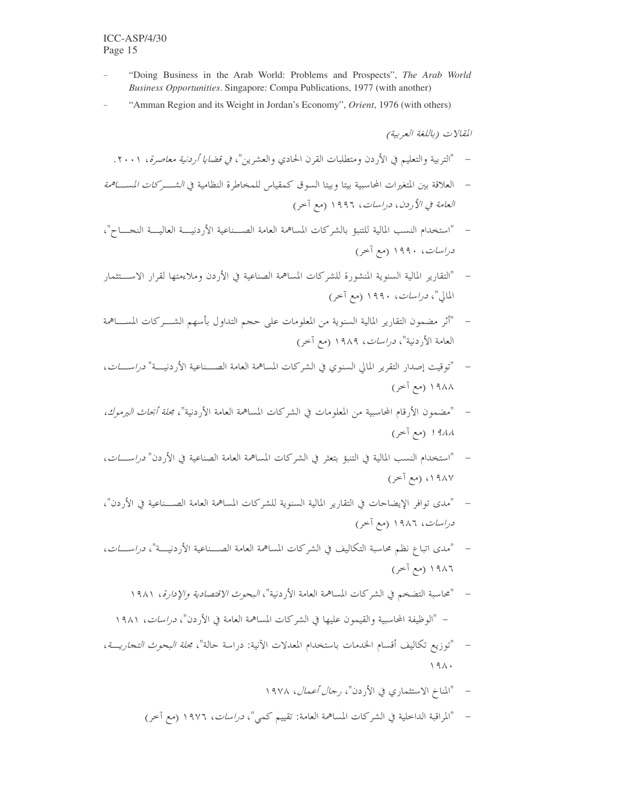- "Doing Business in the Arab World: Problems and Prospects", The Arab World Business Opportunities. Singapore: Compa Publications, 1977 (with another)
- "Amman Region and its Weight in Jordan's Economy", Orient, 1976 (with others)

- "التربية والتعليم في الأردن ومتطلبات القرن الحادي والعشرين"، *في قضايا أردنية معاصرة*، ٢٠٠١.
- العلاقة بين المتغيرات المحاسبية بيتا وبيتا السوق كمقياس للمخاطرة النظامية في *الشـــركات المســـاهمة* العامة في الأردن، دراسات، ١٩٩٦ (مع آخر)
- "استخدام النسب المالية للتنبؤ بالشركات المساهمة العامة الصــناعية الأردنيـــة العاليـــة النجــــاح"، دراسات، ۱۹۹۰ (مع آخر)
- "التقارير المالية السنوية المنشورة للشركات المساهمة الصناعية في الأردن وملاءمتها لقرار الاســـتثمار المالي"، *دراسات*، ۱۹۹۰ (مع آخر)
- "أثر مضمون التقارير المالية السنوية من المعلومات على حجم التداول بأسهم الشـــركات المســـاهمة العامة الأردنية"، *دراسات*، ١٩٨٩ (مع آخر)
- "توقيت إصدار التقرير المالي السنوي في الشركات المساهمة العامة الصــناعية الأردنيـــة" *دراســـات*، ۱۹۸۸ (مع آخر)
- "مضمون الأرقام المحاسبية من المعلومات في الشركات المساهمة العامة الأردنية"، *مجلة أبحاث اليرموك،* ١٩٨٨ (مع آخر)
- "استخدام النسب المالية في التنبؤ بتعثر في الشركات المساهمة العامة الصناعية في الأردن" *دراســـات*، ١٩٨٧، (مع آخر)
- "مدى توافر الإيضاحات في التقارير المالية السنوية للشركات المساهمة العامة الصـــناعية في الأردن"، دراسات، ۱۹۸۶ (مع آخر)
- "مدى اتباع نظم محاسبة التكاليف في الشركات المساهمة العامة الصــناعية الأردنيـــة"، *دراســـات*، ١٩٨٦ (مع آخر)
	- "محاسبة التضخم في الشركات المساهمة العامة الأردنية"، *البحوث الاقتصادية والإدارة*، ١٩٨١ – "الوظيفة المحاسبية والقيمون عليها في الشركات المساهمة العامة في الأردن"، *دراسات*، ١٩٨١
- "توزيع تكاليف أقسام الخدمات باستخدام المعدلات الآنية: دراسة حالة"، مج*لة البحوث التجاريـــة*،  $191.$ 
	- "المناخ الاستثماري في الأردن"، *رحال أعمال*، ١٩٧٨  $\sim$
	- "المراقبة الداخلية في الشركات المساهمة العامة: تقييم كمي"، *دراسات*، ١٩٧٦ (مع آخر)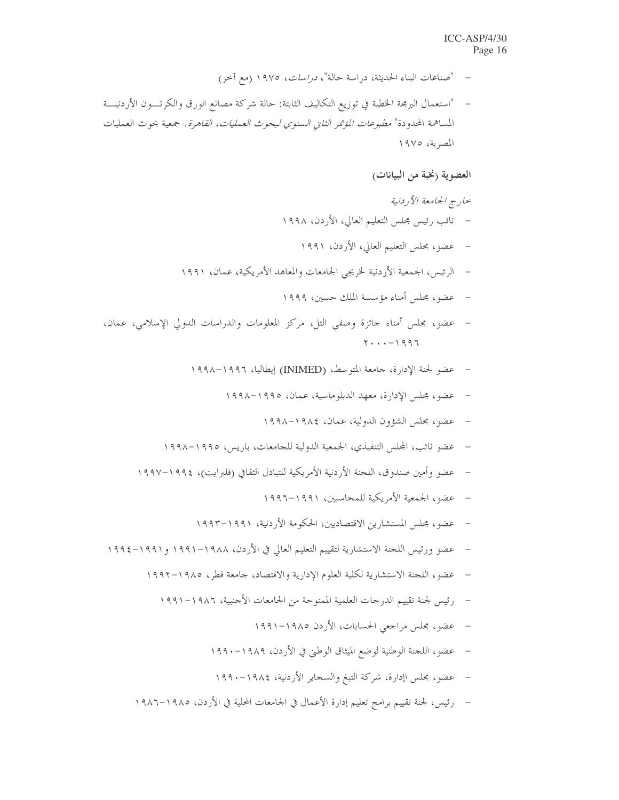- "صناعات البناء الحديثة، دراسة حالة"، *دراسات*، ١٩٧٥ (مع آخر)
- "استعمال البرمجة الخطية في توزيع التكاليف الثابتة: حالة شركة مصانع الورق والكرتــــون الأردنيــــة المساهمة المحدودة" *مطبوعات المؤتمر الثاني السنوي لبحوث العمليات، القاهرة*. جمعية بحوث العمليات المصرية، ١٩٧٥

## العضوية (نخبة من البيانات)

- حارج الجامعة الأردنية – نائب رئيس محلس التعليم العالي، الأردن، ١٩٩٨ عضو، مجلس التعليم العالي، الأردن، ١٩٩١  $\sim$   $-$ – الرئيس، الجمعية الأردنية لخريجي الجامعات والمعاهد الأمريكية، عمان، ١٩٩١ – عضو، مجلس أمناء مؤسسة الملك حسين، ١٩٩٩
- عضو، مجلس أمناء جائزة وصفى التل، مركز المعلومات والدراسات الدولي الإسلامي، عمان،  $Y \cdot \cdot \cdot - 1997$ 
	- عضو لجنة الإدارة، جامعة المتوسط، (INIMED) إيطاليا، ١٩٩٦–١٩٩٨  $\overline{a}$ 
		- عضو، مجلس الإدارة، معهد الدبلوماسية، عمان، ١٩٩٥-١٩٩٨  $\overline{\phantom{a}}$ 
			- عضو، مجلس الشؤون الدولية، عمان، ١٩٨٤–١٩٩٨
	- عضو نائب، المجلس التنفيذي، الجمعية الدولية للجامعات، باريس، ١٩٩٥–١٩٩٨
	- عضو وأمين صندوق، اللجنة الأردنية الأمريكية للتبادل الثقافي (فلبرايت)، ١٩٩٤–١٩٩٧
		- عضو، الجمعية الأمريكية للمحاسبين، ١٩٩١–١٩٩٦
		- عضو، مجلس المستشارين الاقتصاديين، الحكومة الأردنية، ١٩٩١–١٩٩٣
- عضو ورئيس اللجنة الاستشارية لتقييم التعليم العالي في الأردن، ١٩٨٨–١٩٩١ و١٩٩١–١٩٩٤
	- عضو، اللحنة الاستشارية لكلية العلوم الإدارية والاقتصاد، حامعة قطر، ١٩٨٥–١٩٩٢
		- رئيس لجنة تقييم الدرجات العلمية الممنوحة من الجامعات الأجنبية، ١٩٨٦–١٩٩١
			- عضو، مجلس مراجعي الحسابات، الأردن ١٩٨٥–١٩٩١
			- عضو، اللجنة الوطنية لوضع الميثاق الوطني في الأردن، ١٩٨٩–١٩٩٠
			- عضو، مجلس اإدارة، شركة التبغ والسجاير الأردنية، ١٩٨٤–١٩٩٠
	- رئيس، لجنة تقييم برامج تعليم إدارة الأعمال في الجامعات المحلية في الأردن، ١٩٨٥–١٩٨٦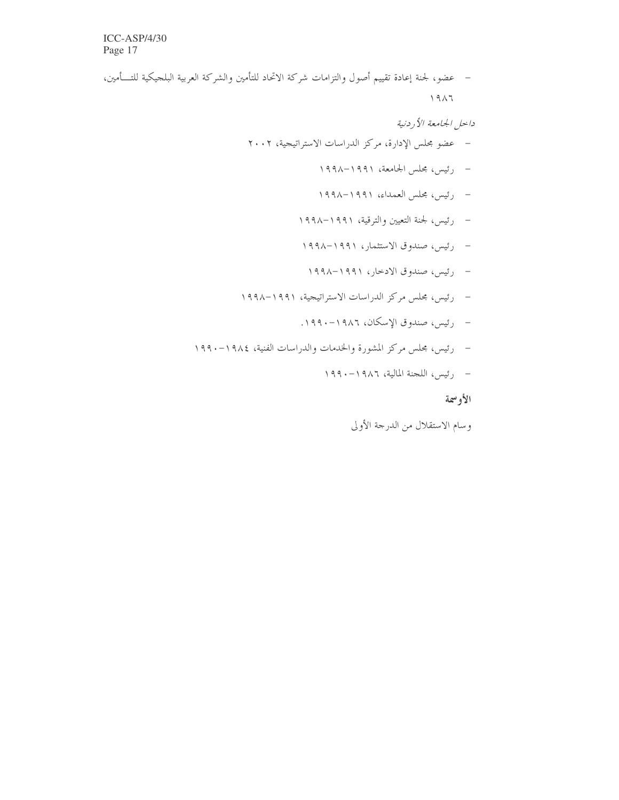– عضو، لجنة إعادة تقييم أصول والتزامات شركة الاتحاد للتأمين والشركة العربية البلجيكية للتـــأمين،  $\bigwedge$ 9 $\bigwedge$ 

داخل الجامعة الأردنية

- عضو مجلس الإدارة، مركز الدراسات الاستراتيجية، ٢٠٠٢
	- $\,\cdot\,$ رئيس، مجلس الجامعة، ١٩٩١–١٩٩٨
	- رئيس، مجلس العمداء، ١٩٩١–١٩٩٨
	- $\, \cdot \,$ رئيس، لجنة التعيين والترقية، ١٩٩١–١٩٩٨
	- رئيس، صندوق الاستثمار، ١٩٩١–١٩٩٨
	- رئيس، صندوق الادخار، ١٩٩١–١٩٩٨
- رئيس، محلس مركز الدراسات الاستراتيجية، ١٩٩١–١٩٩٨
	- رئيس، صندوق الإسكان، ١٩٨٦–١٩٩٠.
- رئيس، مجلس مركز المشورة والخدمات والدراسات الفنية، ١٩٨٤–١٩٩٠
	- $\,\cdot\,$ رئيس، اللجنة المالية، ١٩٨٦ ١٩٩٠

الأوسمة

وسام الاستقلال من الدرجة الأولى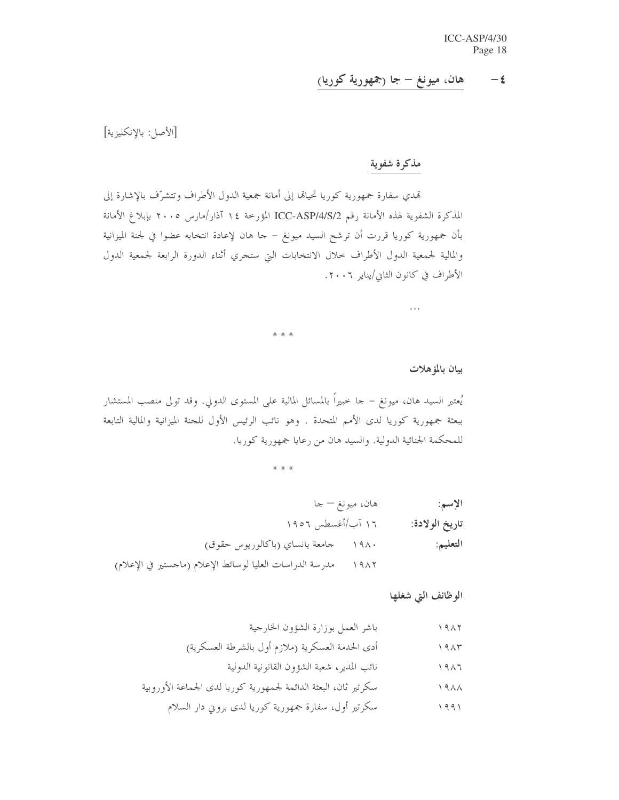#### هان، ميونغ – جا (جمهورية كوريا)  $-\epsilon$

[الأصل: بالإنكليزية]

# مذكرة شفوية

تمدي سفارة جمهورية كوريا تحياقما إلى أمانة جمعية الدول الأطراف وتتشرّف بالإشارة إلى المذكرة الشفوية لهذه الأمانة رقم ICC-ASP/4/S/2 المؤرخة ١٤ آذار/مارس ٢٠٠٥ بإبلاغ الأمانة بأن جمهورية كوريا قررت أن ترشح السيد ميونغ – حا هان لإعادة انتخابه عضوا في لجنة الميزانية والمالية لجمعية الدول الأطراف حلال الانتخابات التي ستجري أثناء الدورة الرابعة لجمعية الدول الأطراف في كانون الثاني/يناير ٢٠٠٦.

\* \* \*

بيان بالمؤهلات

 $\ldots$ 

يُعتبر السيد هان، ميونغ – جا خبيراً بالمسائل المالية على المستوى الدولى. وقد تولى منصب المستشار ببعثة جمهورية كوريا لدى الأمم المتحدة . وهو نائب الرئيس الأول للجنة الميزانية والمالية التابعة للمحكمة الجنائية الدولية. والسيد هان من رعايا جمهورية كوريا.

\* \* \*

| الإسم:         | هان، ميونغ — جا |                                                                  |
|----------------|-----------------|------------------------------------------------------------------|
| تاريخ الولادة: |                 | ۱۶ آب/أغسطس ۱۹۰۲                                                 |
| التعليم:       |                 | ۱۹۸۰ حامعة يانساي (باكالوريوس حقوق)                              |
|                |                 | ١٩٨٢ محمدرسة الدراسات العليا لوسائط الإعلام (ماجستير في الإعلام) |

الوظائف التي شغلها

نائب المدير، شعبة الشؤون القانونية الدولية 

سكرتير أول، سفارة جمهورية كوريا لدى بروين دار السلام  $1991$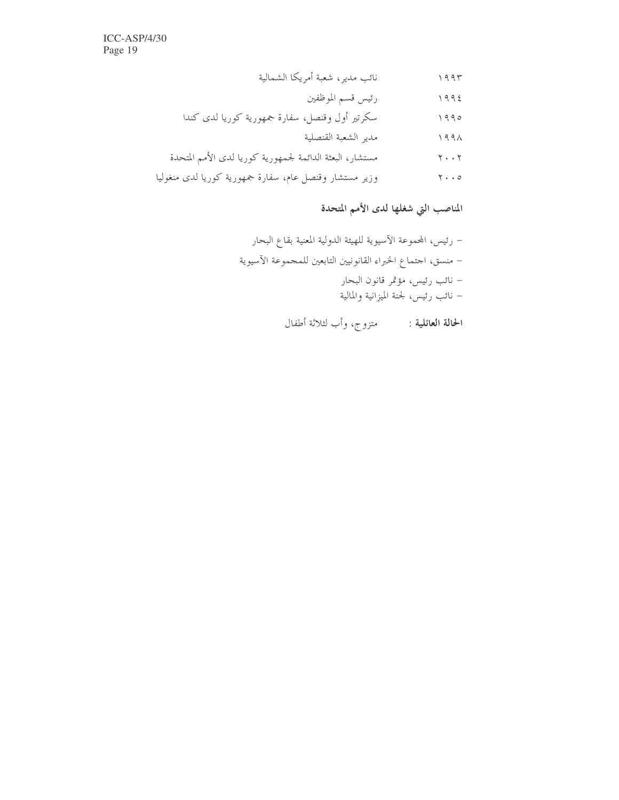$\text{ICC-ASP}/4/30$ Page 19

# المناصب التي شغلها لدى الأمم المتحدة

ا**لحالة العائلية :** متزوج، وأب لثلاثة أطفال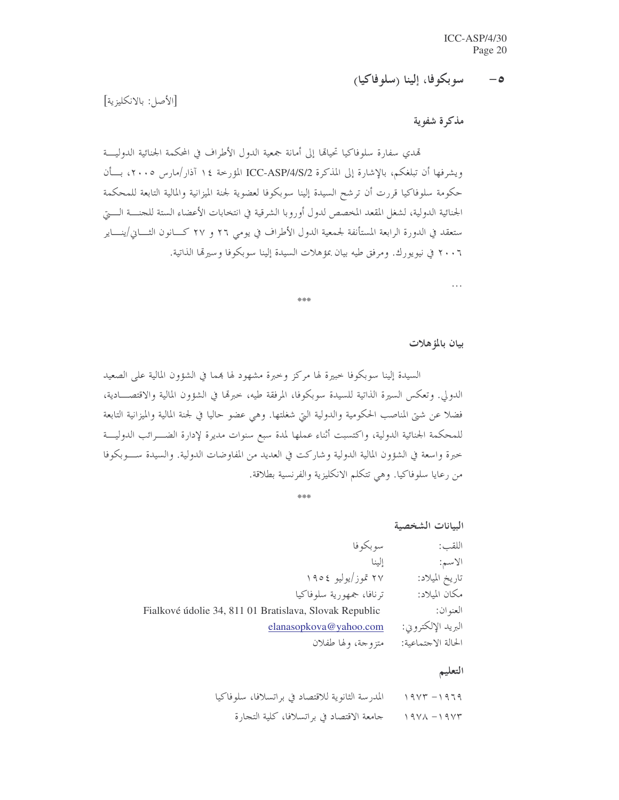#### سوبكوفا، إلينا (سلوفاكيا)  $-\bullet$

[الأصل: بالانكليزية]

مذكرة شفوية

تمدي سفارة سلوفاكيا تحيالها إلى أمانة جمعية الدول الأطراف في المحكمة الجنائية الدوليـــة ويشرفها أن تبلغكم، بالإشارة إلى المذكرة ICC-ASP/4/S/2 المؤرخة ١٤ آذار /مارس ٢٠٠٥، بسأن حكومة سلوفاكيا قررت أن ترشح السيدة إلينا سوبكوفا لعضوية لجنة الميزانية والمالية التابعة للمحكمة الجنائية الدولية، لشغل المقعد المخصص لدول أوروبا الشرقية في انتخابات الأعضاء الستة للجنسة السيت ستعقد في الدورة الرابعة المستأنفة لجمعية الدول الأطراف في يومي ٢٦ و ٢٧ كـــانون الثــــاني/ينــــاير ٢٠٠٦ في نيويورك. ومرفق طيه بيان بمؤهلات السيدة إلينا سوبكوفا وسيرتما الذاتية.

 $22.2$ 

بيان بالمؤهلات

 $\cdots$ 

السيدة إلينا سوبكوفا حبيرة لها مركز وحيرة مشهود لها بمما في الشؤون المالية على الصعيد الدولي. وتعكس السيرة الذاتية للسيدة سوبكوفًا، المرفقة طيه، خبرهًا في الشؤون المالية والاقتصــــادية، فضلا عن شتى المناصب الحكومية والدولية التي شغلتها. وهي عضو حاليا في لجنة المالية والميزانية التابعة للمحكمة الجنائية الدولية، واكتسبت أثناء عملها لمدة سبع سنوات مديرة لإدارة الضـــرائب الدوليــــة حبرة واسعة في الشؤون المالية الدولية وشاركت في العديد من المفاوضات الدولية. والسيدة ســـوبكوفا من رعايا سلوفاكيا. وهي تتكلَّم الانكليزية والفرنسية بطلاقة.

البانات الشخصية

| سو بکو فا<br>اللقب: |                                                        |
|---------------------|--------------------------------------------------------|
| الىنا<br>الاسم:     |                                                        |
| تاريخ الميلاد:      | ۲۷ تموز/يوليو ١٩٥٤                                     |
| مكان الميلاد:       | ترنافا، جمهورية سلوفاكيا                               |
| العنو ان:           | Fialkové údolie 34, 811 01 Bratislava, Slovak Republic |
| البريد الإلكتروني:  | elanasopkova@yahoo.com                                 |
| الحالة الاجتماعية:  | متزوجة، ولها طفلان                                     |

### التعليم

المدرسة الثانوية للاقتصاد في براتسلافا، سلوفاكيا  $19Yr - 1979$ حامعة الاقتصاد في براتسلافا، كلية التجارة  $19V<sub>A</sub> - 19V<sub>T</sub>$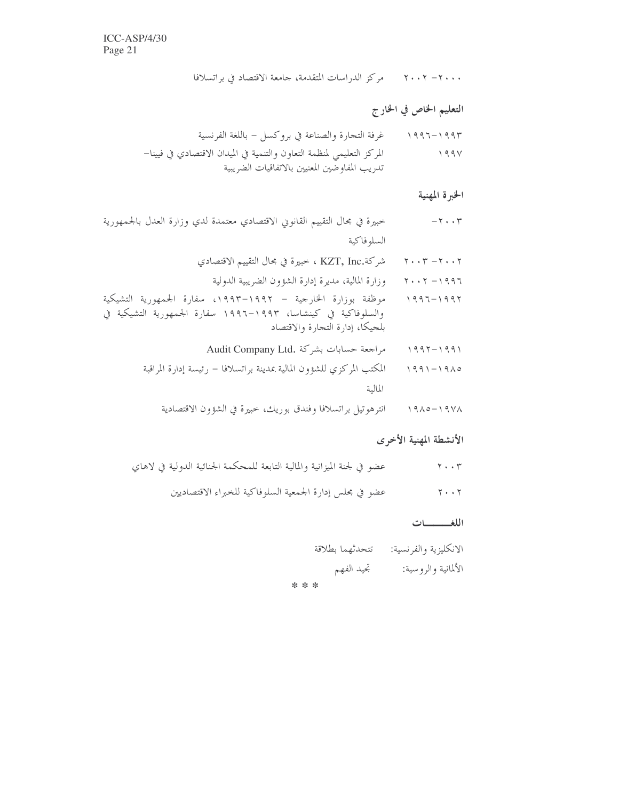٢٠٠٠ - ٢٠٠٢ - مركز الدراسات المتقدمة، جامعة الاقتصاد في براتسلافا

# التعليم الخاص في الخارج

تدريب المفاوضين المعنيين بالاتفاقيات الضريبية

#### الخبرة المهنية

- خبيرة في مجال التقييم القانوين الاقتصادي معتمدة لدي وزارة العدل بالجمهورية  $-7.7$ السلوفاكية
	- ٢٠٠٢ ٢٠٠٣ شركة.KZT, Inc ، خبيرة في مجال التقييم الاقتصادي
		- ٢٠٠٢ ٢٠٠٢ هوزارة المالية، مديرة إدارة الشؤون الضريبية الدولية
- موظفة بوزارة الخارجية ١٩٩٢–١٩٩٣، سفارة الجمهورية التشيكية  $1997 - 1997$ والسلوفاكية في كينشاسا، ١٩٩٣–١٩٩٦ سفارة الجمهورية التشيكية في بلجيكا، إدارة التجارة والاقتصاد
	- Audit Company Ltd. مراجعة حسابات بشركة  $1997 - 1991$
	- المكتب المركزي للشؤون المالية بمدينة براتسلافا رئيسة إدارة المراقبة  $991 - 1910$ المالية
		- انترهوتيل براتسلافا وفندق بوريك، حبيرة في الشؤون الاقتصادية  $19\lambda0 - 19V\lambda$

### الأنشطة المهنية الأخرى

- عضو في لجنة الميزانية والمالية التابعة للمحكمة الجنائية الدولية في لاهاي  $\gamma \cdot \cdot \gamma$ 
	- عضو في مجلس إدارة الجمعية السلوفاكية للخبراء الاقتصاديين  $Y \cdot \cdot Y$

#### اللغــــــات

الانكليزية والفرنسية: تتحدثهما بطلاقة الألمانية والروسية: تجيد الفهم

\* \* \*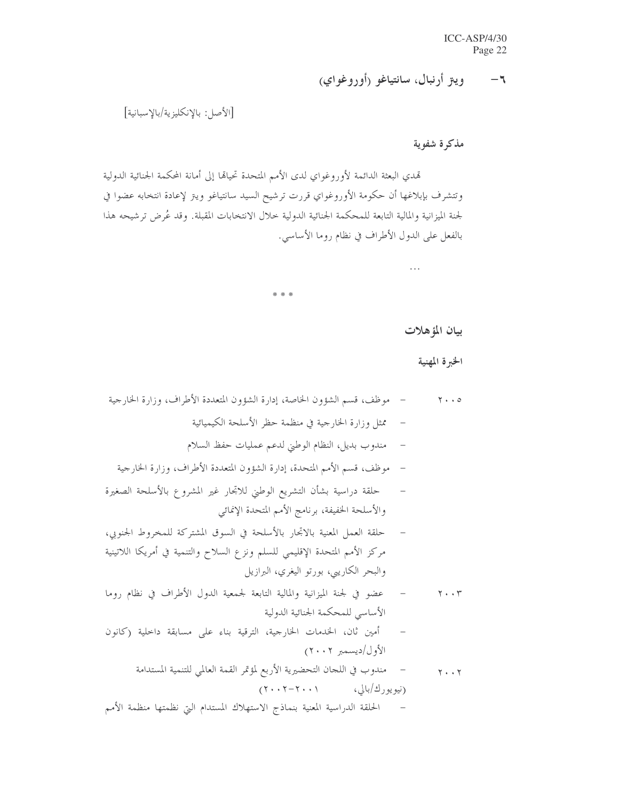وييق أرنبال، سانتياغو (أوروغواي)  $-1$ 

 $\dddot{\phantom{0}}$ 

بيان المؤهلات

[الأصل: بالإنكليزية/بالإسبانية]

مذكرة شفوية

تمدي البعثة الدائمة لأوروغواي لدى الأمم المتحدة تحيالها إلى أمانة المحكمة الجنائية الدولية وتتشرف بإبلاغها أن حكومة الأوروغواي قررت ترشيح السيد سانتياغو ويتز لإعادة انتخابه عضوا في لجنة الميزانية والمالية التابعة للمحكمة الجنائية الدولية خلال الانتخابات المقبلة. وقد عُرض ترشيحه هذا بالفعل على الدول الأطراف في نظام روما الأساسي.

\* \* \*

الخبرة المهنية – موظف، قسم الشؤون الخاصة، إدارة الشؤون المتعددة الأطراف، وزارة الخارجية  $\mathbf{Y} \cdot \cdot \mathbf{0}$ ممثل وزارة الخارجية في منظمة حظر الأسلحة الكيميائية  $\sim$   $-$ مندوب بديل، النظام الوطني لدعم عمليات حفظ السلام – موظف، قسم الأمم المتحدة، إدارة الشؤون المتعددة الأطراف، وزارة الخارجية حلقة دراسية بشأن التشريع الوطني للاتحار غير المشروع بالأسلحة الصغيرة والأسلحة الخفيفة، برنامج الأمم المتحدة الإنمائي حلقة العمل المعنية بالاتجار بالأسلحة في السوق المشتركة للمخروط الجنوبي، مركز الأمم المتحدة الإقليمي للسلم ونزع السلاح والتنمية في أمريكا اللاتينية والبحر الكاريبي، بورتو اليغري، البرازيل عضوٍ في لجنة الميزانية والمالية التابعة لجمعية الدول الأطراف في نظام روما  $\mathcal{L}^{\perp}$  $\mathbf{y} \cdot \mathbf{y}$ الأساسي للمحكمة الجنائية الدولية – أمين ثان، الخدمات الخارجية، الترقية بناء على مسابقة داخلية (كانون الأول/ديسمبر ٢٠٠٢)

مندوب في اللجان التحضيرية الأربع لمؤتمر القمة العالمي للتنمية المستدامة  $\overline{\phantom{0}}$  $Y \cdot Y$ (نيو يو رك/بالي، ٢٠٠١-٢٠٠٢)

الحلقة الدراسية المعنية بنماذج الاستهلاك المستدام التي نظمتها منظمة الأمم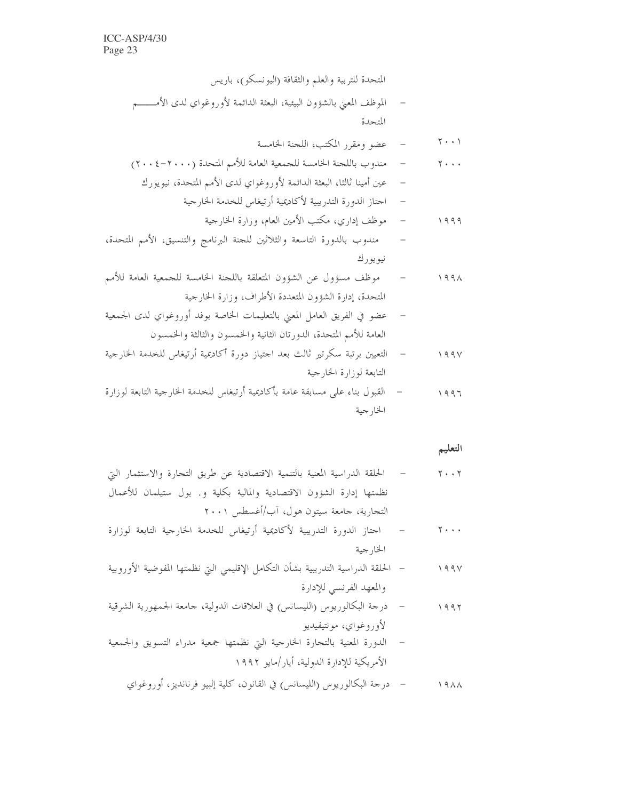المتحدة للتربية والعلم والثقافة (اليونسكو)، باريس الموظف المعنى بالشؤون البيئية، البعثة الدائمة لأوروغواي لدى الأمــــــم  $\overline{\phantom{0}}$ المتحدة – عضو ومقرر المكتب، اللجنة الخامسة  $\gamma \cdot \cdot \gamma$ مندوب باللجنة الخامسة للجمعية العامة للأمم المتحدة (٢٠٠٠-٢٠٠٤)  $\mathcal{L}=\mathcal{L}$  $\gamma$ ... عين أمينا ثالثا، البعثة الدائمة لأوروغواي لدى الأمم المتحدة، نيويورك  $\sim$   $-$ اجتاز الدورة التدريبية لأكاديمية أرتيغاس للخدمة الخارجية  $\overline{\phantom{a}}$ – موظف إداري، مكتب الأمين العام، وزارة الخارجية  $1999$ مندوب بالدورة التاسعة والثلاثين للجنة البرنامج والتنسيق، الأمم المتحدة،  $\overline{\phantom{a}}$ نيويورك موظف مسؤول عن الشؤون المتعلقة باللجنة الخامسة للجمعية العامة للأمم  $\sim$   $199\lambda$ المتحدة، إدارة الشؤون المتعددة الأطراف، وزارة الخارجية عضو في الفريق العامل المعنى بالتعليمات الخاصة بوفد أوروغواي لدى الجمعية  $\overline{\phantom{a}}$ العامة للأمم المتحدة، الدورتان الثانية والخمسون والثالثة والخمسون التعيين برتبة سكرتير ثالث بعد احتياز دورة أكاديمية أرتيغاس للخدمة الخارجية  $\mathcal{L}=\mathcal{L}$  $199V$ التابعة لوزارة الخارجية

التعليم